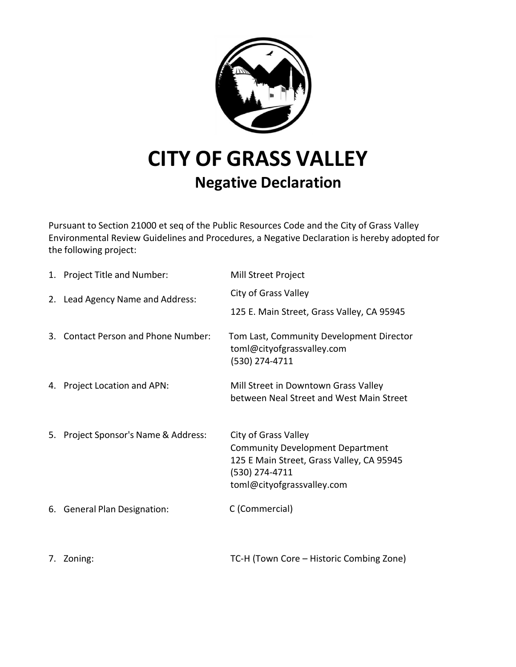

## **Negative Declaration**

Pursuant to Section 21000 et seq of the Public Resources Code and the City of Grass Valley Environmental Review Guidelines and Procedures, a Negative Declaration is hereby adopted for the following project:

| 1. Project Title and Number:         | Mill Street Project                                                                                                                                          |
|--------------------------------------|--------------------------------------------------------------------------------------------------------------------------------------------------------------|
| 2. Lead Agency Name and Address:     | City of Grass Valley                                                                                                                                         |
|                                      | 125 E. Main Street, Grass Valley, CA 95945                                                                                                                   |
| 3. Contact Person and Phone Number:  | Tom Last, Community Development Director<br>toml@cityofgrassvalley.com<br>(530) 274-4711                                                                     |
| 4. Project Location and APN:         | Mill Street in Downtown Grass Valley<br>between Neal Street and West Main Street                                                                             |
| 5. Project Sponsor's Name & Address: | City of Grass Valley<br><b>Community Development Department</b><br>125 E Main Street, Grass Valley, CA 95945<br>(530) 274-4711<br>toml@cityofgrassvalley.com |
| 6. General Plan Designation:         | C (Commercial)                                                                                                                                               |
| 7. Zoning:                           | TC-H (Town Core - Historic Combing Zone)                                                                                                                     |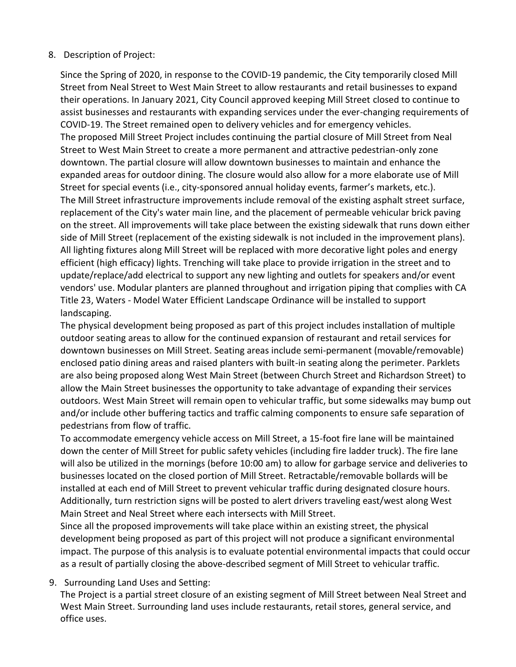## 8. Description of Project:

Since the Spring of 2020, in response to the COVID-19 pandemic, the City temporarily closed Mill Street from Neal Street to West Main Street to allow restaurants and retail businesses to expand their operations. In January 2021, City Council approved keeping Mill Street closed to continue to assist businesses and restaurants with expanding services under the ever-changing requirements of COVID-19. The Street remained open to delivery vehicles and for emergency vehicles. The proposed Mill Street Project includes continuing the partial closure of Mill Street from Neal Street to West Main Street to create a more permanent and attractive pedestrian-only zone downtown. The partial closure will allow downtown businesses to maintain and enhance the expanded areas for outdoor dining. The closure would also allow for a more elaborate use of Mill Street for special events (i.e., city-sponsored annual holiday events, farmer's markets, etc.). The Mill Street infrastructure improvements include removal of the existing asphalt street surface, replacement of the City's water main line, and the placement of permeable vehicular brick paving on the street. All improvements will take place between the existing sidewalk that runs down either side of Mill Street (replacement of the existing sidewalk is not included in the improvement plans). All lighting fixtures along Mill Street will be replaced with more decorative light poles and energy efficient (high efficacy) lights. Trenching will take place to provide irrigation in the street and to update/replace/add electrical to support any new lighting and outlets for speakers and/or event vendors' use. Modular planters are planned throughout and irrigation piping that complies with CA Title 23, Waters - Model Water Efficient Landscape Ordinance will be installed to support landscaping.

The physical development being proposed as part of this project includes installation of multiple outdoor seating areas to allow for the continued expansion of restaurant and retail services for downtown businesses on Mill Street. Seating areas include semi-permanent (movable/removable) enclosed patio dining areas and raised planters with built-in seating along the perimeter. Parklets are also being proposed along West Main Street (between Church Street and Richardson Street) to allow the Main Street businesses the opportunity to take advantage of expanding their services outdoors. West Main Street will remain open to vehicular traffic, but some sidewalks may bump out and/or include other buffering tactics and traffic calming components to ensure safe separation of pedestrians from flow of traffic.

To accommodate emergency vehicle access on Mill Street, a 15-foot fire lane will be maintained down the center of Mill Street for public safety vehicles (including fire ladder truck). The fire lane will also be utilized in the mornings (before 10:00 am) to allow for garbage service and deliveries to businesses located on the closed portion of Mill Street. Retractable/removable bollards will be installed at each end of Mill Street to prevent vehicular traffic during designated closure hours. Additionally, turn restriction signs will be posted to alert drivers traveling east/west along West Main Street and Neal Street where each intersects with Mill Street.

Since all the proposed improvements will take place within an existing street, the physical development being proposed as part of this project will not produce a significant environmental impact. The purpose of this analysis is to evaluate potential environmental impacts that could occur as a result of partially closing the above-described segment of Mill Street to vehicular traffic.

## 9. Surrounding Land Uses and Setting:

The Project is a partial street closure of an existing segment of Mill Street between Neal Street and West Main Street. Surrounding land uses include restaurants, retail stores, general service, and office uses.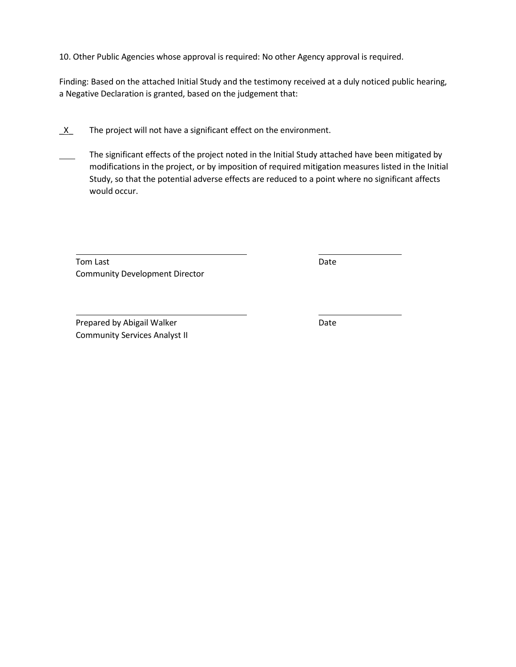10. Other Public Agencies whose approval is required: No other Agency approval is required.

Finding: Based on the attached Initial Study and the testimony received at a duly noticed public hearing, a Negative Declaration is granted, based on the judgement that:

- $X$  The project will not have a significant effect on the environment.
- The significant effects of the project noted in the Initial Study attached have been mitigated by modifications in the project, or by imposition of required mitigation measures listed in the Initial Study, so that the potential adverse effects are reduced to a point where no significant affects would occur.

Tom Last **Date** Community Development Director

Prepared by Abigail Walker **Date** Date Community Services Analyst II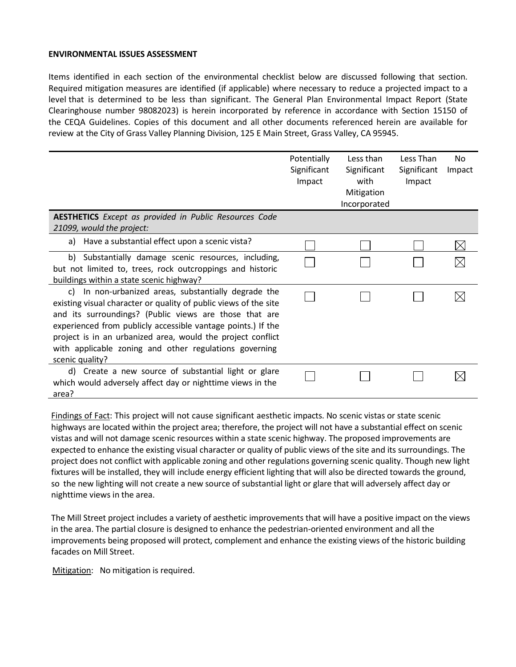## **ENVIRONMENTAL ISSUES ASSESSMENT**

Items identified in each section of the environmental checklist below are discussed following that section. Required mitigation measures are identified (if applicable) where necessary to reduce a projected impact to a level that is determined to be less than significant. The General Plan Environmental Impact Report (State Clearinghouse number 98082023) is herein incorporated by reference in accordance with Section 15150 of the CEQA Guidelines. Copies of this document and all other documents referenced herein are available for review at the City of Grass Valley Planning Division, 125 E Main Street, Grass Valley, CA 95945.

|                                                                                                                                                                                                                                                                                                                                                                                                | Potentially<br>Significant<br>Impact | Less than<br>Significant<br>with<br>Mitigation<br>Incorporated | Less Than<br>Significant<br>Impact | No.<br>Impact |
|------------------------------------------------------------------------------------------------------------------------------------------------------------------------------------------------------------------------------------------------------------------------------------------------------------------------------------------------------------------------------------------------|--------------------------------------|----------------------------------------------------------------|------------------------------------|---------------|
| <b>AESTHETICS</b> Except as provided in Public Resources Code                                                                                                                                                                                                                                                                                                                                  |                                      |                                                                |                                    |               |
| 21099, would the project:                                                                                                                                                                                                                                                                                                                                                                      |                                      |                                                                |                                    |               |
| a) Have a substantial effect upon a scenic vista?                                                                                                                                                                                                                                                                                                                                              |                                      |                                                                |                                    |               |
| b) Substantially damage scenic resources, including,<br>but not limited to, trees, rock outcroppings and historic<br>buildings within a state scenic highway?                                                                                                                                                                                                                                  |                                      |                                                                |                                    |               |
| c) In non-urbanized areas, substantially degrade the<br>existing visual character or quality of public views of the site<br>and its surroundings? (Public views are those that are<br>experienced from publicly accessible vantage points.) If the<br>project is in an urbanized area, would the project conflict<br>with applicable zoning and other regulations governing<br>scenic quality? |                                      |                                                                |                                    |               |
| d) Create a new source of substantial light or glare<br>which would adversely affect day or nighttime views in the<br>area?                                                                                                                                                                                                                                                                    |                                      |                                                                |                                    |               |

Findings of Fact: This project will not cause significant aesthetic impacts. No scenic vistas or state scenic highways are located within the project area; therefore, the project will not have a substantial effect on scenic vistas and will not damage scenic resources within a state scenic highway. The proposed improvements are expected to enhance the existing visual character or quality of public views of the site and its surroundings. The project does not conflict with applicable zoning and other regulations governing scenic quality. Though new light fixtures will be installed, they will include energy efficient lighting that will also be directed towards the ground, so the new lighting will not create a new source of substantial light or glare that will adversely affect day or nighttime views in the area.

The Mill Street project includes a variety of aesthetic improvements that will have a positive impact on the views in the area. The partial closure is designed to enhance the pedestrian-oriented environment and all the improvements being proposed will protect, complement and enhance the existing views of the historic building facades on Mill Street.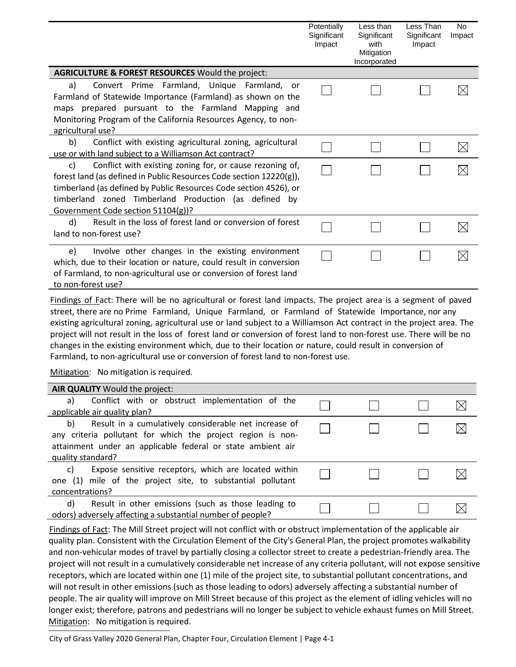|                                                                                                                                                                                                                                                                                                           | Potentially<br>Significant<br>Impact | Less than<br>Significant<br>with<br>Mitigation<br>Incorporated | Less Than<br>Significant<br>Impact | No<br>Impact |
|-----------------------------------------------------------------------------------------------------------------------------------------------------------------------------------------------------------------------------------------------------------------------------------------------------------|--------------------------------------|----------------------------------------------------------------|------------------------------------|--------------|
| <b>AGRICULTURE &amp; FOREST RESOURCES Would the project:</b>                                                                                                                                                                                                                                              |                                      |                                                                |                                    |              |
| Convert Prime Farmland, Unique Farmland, or<br>a)<br>Farmland of Statewide Importance (Farmland) as shown on the<br>maps prepared pursuant to the Farmland Mapping and<br>Monitoring Program of the California Resources Agency, to non-<br>agricultural use?                                             |                                      |                                                                |                                    |              |
| Conflict with existing agricultural zoning, agricultural<br>b)<br>use or with land subject to a Williamson Act contract?                                                                                                                                                                                  |                                      |                                                                |                                    |              |
| Conflict with existing zoning for, or cause rezoning of,<br>c)<br>forest land (as defined in Public Resources Code section 12220(g)),<br>timberland (as defined by Public Resources Code section 4526), or<br>timberland zoned Timberland Production (as defined by<br>Government Code section 51104(g))? |                                      |                                                                |                                    |              |
| d)<br>Result in the loss of forest land or conversion of forest<br>land to non-forest use?                                                                                                                                                                                                                |                                      |                                                                |                                    |              |
| Involve other changes in the existing environment<br>e)<br>which, due to their location or nature, could result in conversion<br>of Farmland, to non-agricultural use or conversion of forest land<br>to non-forest use?                                                                                  |                                      |                                                                |                                    |              |

Findings of Fact: There will be no agricultural or forest land impacts. The project area is a segment of paved street, there are no Prime Farmland, Unique Farmland, or Farmland of Statewide Importance, nor any existing agricultural zoning, agricultural use or land subject to a Williamson Act contract in the project area. The project will not result in the loss of forest land or conversion of forest land to non-forest use. There will be no changes in the existing environment which, due to their location or nature, could result in conversion of Farmland, to non-agricultural use or conversion of forest land to non-forest use.

Mitigation: No mitigation is required.

| AIR QUALITY Would the project:                              |  |    |
|-------------------------------------------------------------|--|----|
| Conflict with or obstruct implementation of the<br>a)       |  |    |
| applicable air quality plan?                                |  |    |
| Result in a cumulatively considerable net increase of<br>b) |  | IX |
| any criteria pollutant for which the project region is non- |  |    |
| attainment under an applicable federal or state ambient air |  |    |
| quality standard?                                           |  |    |
| Expose sensitive receptors, which are located within<br>C)  |  |    |
| one (1) mile of the project site, to substantial pollutant  |  |    |
| concentrations?                                             |  |    |
| Result in other emissions (such as those leading to<br>d)   |  |    |
| odors) adversely affecting a substantial number of people?  |  |    |

Findings of Fact: The Mill Street project will not conflict with or obstruct implementation of the applicable air quality plan. Consistent with the Circulation Element of the City's General Plan, the project promotes walkability and non-vehicular modes of travel by partially closing a collector street to create a pedestrian-friendly area. The project will not result in a cumulatively considerable net increase of any criteria pollutant, will not expose sensitive receptors, which are located within one (1) mile of the project site, to substantial pollutant concentrations, and will not result in other emissions (such as those leading to odors) adversely affecting a substantial number of people. The air quality will improve on Mill Street because of this project as the element of idling vehicles will no longer exist; therefore, patrons and pedestrians will no longer be subject to vehicle exhaust fumes on Mill Street. Mitigation: No mitigation is required.

City of Grass Valley 2020 General Plan, Chapter Four, Circulation Element | Page 4-1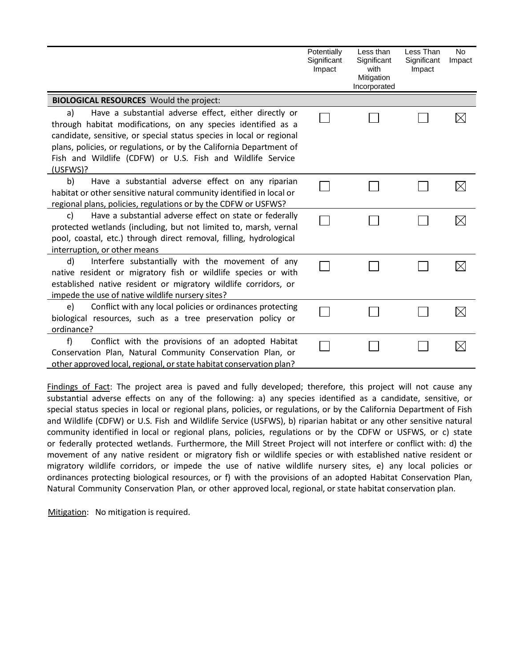|                                                                                                                                                                                                                                                                                                                                                       | Potentially<br>Significant<br>Impact | Less than<br>Significant<br>with<br>Mitigation<br>Incorporated | Less Than<br>Significant<br>Impact | No<br>Impact |
|-------------------------------------------------------------------------------------------------------------------------------------------------------------------------------------------------------------------------------------------------------------------------------------------------------------------------------------------------------|--------------------------------------|----------------------------------------------------------------|------------------------------------|--------------|
| <b>BIOLOGICAL RESOURCES</b> Would the project:                                                                                                                                                                                                                                                                                                        |                                      |                                                                |                                    |              |
| Have a substantial adverse effect, either directly or<br>a)<br>through habitat modifications, on any species identified as a<br>candidate, sensitive, or special status species in local or regional<br>plans, policies, or regulations, or by the California Department of<br>Fish and Wildlife (CDFW) or U.S. Fish and Wildlife Service<br>(USFWS)? |                                      |                                                                |                                    |              |
| b)<br>Have a substantial adverse effect on any riparian<br>habitat or other sensitive natural community identified in local or<br>regional plans, policies, regulations or by the CDFW or USFWS?                                                                                                                                                      |                                      |                                                                |                                    |              |
| Have a substantial adverse effect on state or federally<br>C)<br>protected wetlands (including, but not limited to, marsh, vernal<br>pool, coastal, etc.) through direct removal, filling, hydrological<br>interruption, or other means                                                                                                               |                                      |                                                                |                                    |              |
| d)<br>Interfere substantially with the movement of any<br>native resident or migratory fish or wildlife species or with<br>established native resident or migratory wildlife corridors, or<br>impede the use of native wildlife nursery sites?                                                                                                        |                                      |                                                                |                                    |              |
| Conflict with any local policies or ordinances protecting<br>e)<br>biological resources, such as a tree preservation policy or<br>ordinance?                                                                                                                                                                                                          |                                      |                                                                |                                    |              |
| f)<br>Conflict with the provisions of an adopted Habitat<br>Conservation Plan, Natural Community Conservation Plan, or<br>other approved local, regional, or state habitat conservation plan?                                                                                                                                                         |                                      |                                                                |                                    |              |

Findings of Fact: The project area is paved and fully developed; therefore, this project will not cause any substantial adverse effects on any of the following: a) any species identified as a candidate, sensitive, or special status species in local or regional plans, policies, or regulations, or by the California Department of Fish and Wildlife (CDFW) or U.S. Fish and Wildlife Service (USFWS), b) riparian habitat or any other sensitive natural community identified in local or regional plans, policies, regulations or by the CDFW or USFWS, or c) state or federally protected wetlands. Furthermore, the Mill Street Project will not interfere or conflict with: d) the movement of any native resident or migratory fish or wildlife species or with established native resident or migratory wildlife corridors, or impede the use of native wildlife nursery sites, e) any local policies or ordinances protecting biological resources, or f) with the provisions of an adopted Habitat Conservation Plan, Natural Community Conservation Plan, or other approved local, regional, or state habitat conservation plan.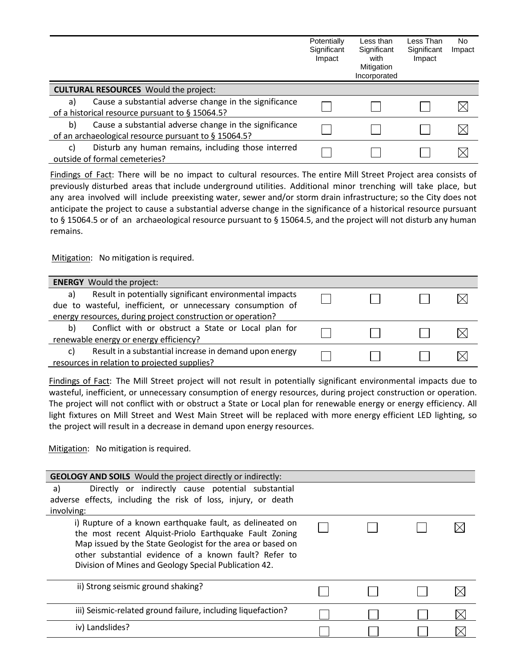|    |                                                                                                                | Potentially<br>Significant<br>Impact | Less than<br>Significant<br>with<br>Mitigation<br>Incorporated | Less Than<br>Significant<br>Impact | No.<br>Impact |
|----|----------------------------------------------------------------------------------------------------------------|--------------------------------------|----------------------------------------------------------------|------------------------------------|---------------|
|    | <b>CULTURAL RESOURCES</b> Would the project:                                                                   |                                      |                                                                |                                    |               |
| a) | Cause a substantial adverse change in the significance<br>of a historical resource pursuant to § 15064.5?      |                                      |                                                                |                                    |               |
| b) | Cause a substantial adverse change in the significance<br>of an archaeological resource pursuant to § 15064.5? |                                      |                                                                |                                    |               |
| C) | Disturb any human remains, including those interred<br>outside of formal cemeteries?                           |                                      |                                                                |                                    |               |

Findings of Fact: There will be no impact to cultural resources. The entire Mill Street Project area consists of previously disturbed areas that include underground utilities. Additional minor trenching will take place, but any area involved will include preexisting water, sewer and/or storm drain infrastructure; so the City does not anticipate the project to cause a substantial adverse change in the significance of a historical resource pursuant to § 15064.5 or of an archaeological resource pursuant to § 15064.5, and the project will not disturb any human remains.

Mitigation: No mitigation is required.

| <b>ENERGY</b> Would the project:                                                                                             |  |  |
|------------------------------------------------------------------------------------------------------------------------------|--|--|
| Result in potentially significant environmental impacts<br>a)<br>due to wasteful, inefficient, or unnecessary consumption of |  |  |
| energy resources, during project construction or operation?                                                                  |  |  |
| Conflict with or obstruct a State or Local plan for<br>b)                                                                    |  |  |
| renewable energy or energy efficiency?                                                                                       |  |  |
| Result in a substantial increase in demand upon energy<br>C)                                                                 |  |  |
| resources in relation to projected supplies?                                                                                 |  |  |

Findings of Fact: The Mill Street project will not result in potentially significant environmental impacts due to wasteful, inefficient, or unnecessary consumption of energy resources, during project construction or operation. The project will not conflict with or obstruct a State or Local plan for renewable energy or energy efficiency. All light fixtures on Mill Street and West Main Street will be replaced with more energy efficient LED lighting, so the project will result in a decrease in demand upon energy resources.

| <b>GEOLOGY AND SOILS</b> Would the project directly or indirectly:                                                                                                                                                                                                                                 |  |  |
|----------------------------------------------------------------------------------------------------------------------------------------------------------------------------------------------------------------------------------------------------------------------------------------------------|--|--|
| Directly or indirectly cause potential substantial<br>a)                                                                                                                                                                                                                                           |  |  |
| adverse effects, including the risk of loss, injury, or death                                                                                                                                                                                                                                      |  |  |
| involving:                                                                                                                                                                                                                                                                                         |  |  |
| i) Rupture of a known earthquake fault, as delineated on<br>the most recent Alquist-Priolo Earthquake Fault Zoning<br>Map issued by the State Geologist for the area or based on<br>other substantial evidence of a known fault? Refer to<br>Division of Mines and Geology Special Publication 42. |  |  |
| ii) Strong seismic ground shaking?                                                                                                                                                                                                                                                                 |  |  |
| iii) Seismic-related ground failure, including liquefaction?                                                                                                                                                                                                                                       |  |  |
| iv) Landslides?                                                                                                                                                                                                                                                                                    |  |  |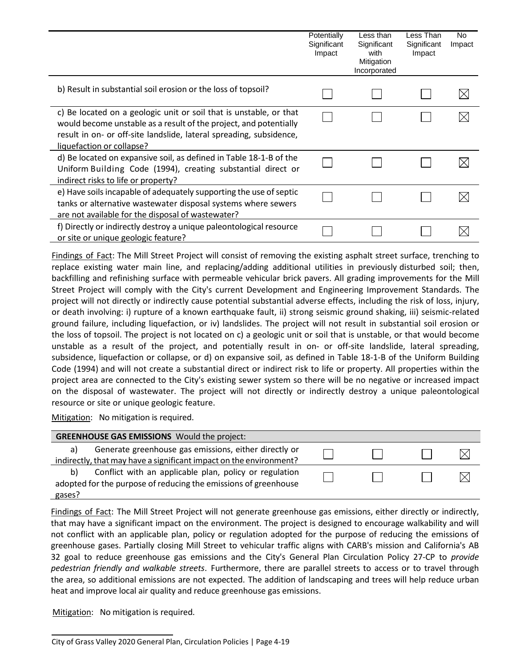|                                                                                                                                                                                                                                             | Potentially<br>Significant<br>Impact | Less than<br>Significant<br>with<br>Mitigation<br>Incorporated | Less Than<br>Significant<br>Impact | No.<br>Impact |
|---------------------------------------------------------------------------------------------------------------------------------------------------------------------------------------------------------------------------------------------|--------------------------------------|----------------------------------------------------------------|------------------------------------|---------------|
| b) Result in substantial soil erosion or the loss of topsoil?                                                                                                                                                                               |                                      |                                                                |                                    |               |
| c) Be located on a geologic unit or soil that is unstable, or that<br>would become unstable as a result of the project, and potentially<br>result in on- or off-site landslide, lateral spreading, subsidence,<br>liquefaction or collapse? |                                      |                                                                |                                    |               |
| d) Be located on expansive soil, as defined in Table 18-1-B of the<br>Uniform Building Code (1994), creating substantial direct or<br>indirect risks to life or property?                                                                   |                                      |                                                                |                                    |               |
| e) Have soils incapable of adequately supporting the use of septic<br>tanks or alternative wastewater disposal systems where sewers<br>are not available for the disposal of wastewater?                                                    |                                      |                                                                |                                    |               |
| f) Directly or indirectly destroy a unique paleontological resource<br>or site or unique geologic feature?                                                                                                                                  |                                      |                                                                |                                    |               |

Findings of Fact: The Mill Street Project will consist of removing the existing asphalt street surface, trenching to replace existing water main line, and replacing/adding additional utilities in previously disturbed soil; then, backfilling and refinishing surface with permeable vehicular brick pavers. All grading improvements for the Mill Street Project will comply with the City's current Development and Engineering Improvement Standards. The project will not directly or indirectly cause potential substantial adverse effects, including the risk of loss, injury, or death involving: i) rupture of a known earthquake fault, ii) strong seismic ground shaking, iii) seismic-related ground failure, including liquefaction, or iv) landslides. The project will not result in substantial soil erosion or the loss of topsoil. The project is not located on c) a geologic unit or soil that is unstable, or that would become unstable as a result of the project, and potentially result in on- or off-site landslide, lateral spreading, subsidence, liquefaction or collapse, or d) on expansive soil, as defined in Table 18-1-B of the Uniform Building Code (1994) and will not create a substantial direct or indirect risk to life or property. All properties within the project area are connected to the City's existing sewer system so there will be no negative or increased impact on the disposal of wastewater. The project will not directly or indirectly destroy a unique paleontological resource or site or unique geologic feature.

Mitigation: No mitigation is required.

|        | <b>GREENHOUSE GAS EMISSIONS</b> Would the project:                 |  |    |
|--------|--------------------------------------------------------------------|--|----|
| a)     | Generate greenhouse gas emissions, either directly or              |  | IХ |
|        | indirectly, that may have a significant impact on the environment? |  |    |
| b)     | Conflict with an applicable plan, policy or regulation             |  | IХ |
|        | adopted for the purpose of reducing the emissions of greenhouse    |  |    |
| gases? |                                                                    |  |    |

Findings of Fact: The Mill Street Project will not generate greenhouse gas emissions, either directly or indirectly, that may have a significant impact on the environment. The project is designed to encourage walkability and will not conflict with an applicable plan, policy or regulation adopted for the purpose of reducing the emissions of greenhouse gases. Partially closing Mill Street to vehicular traffic aligns with CARB's mission and California's AB 32 goal to reduce greenhouse gas emissions and the City's General Plan Circulation Policy 27-CP to *provide pedestrian friendly and walkable streets*. Furthermore, there are parallel streets to access or to travel through the area, so additional emissions are not expected. The addition of landscaping and trees will help reduce urban heat and improve local air quality and reduce greenhouse gas emissions.

City of Grass Valley 2020 General Plan, Circulation Policies | Page 4-19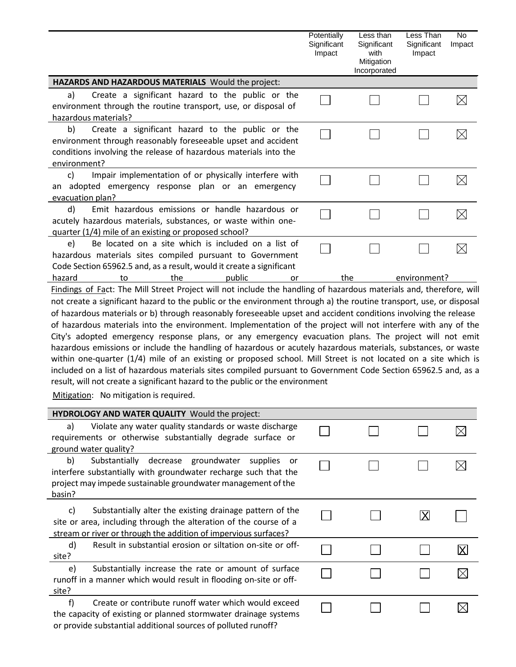|                                                                                                                                                                                                                                                                                                                                                                                                                                                                                                                                                                                                                                                                                                                                                                                                                                                                                                                                                  | Potentially<br>Significant<br>Impact | Less than<br>Significant<br>with<br>Mitigation<br>Incorporated | Less Than<br>Significant<br>Impact | No<br>Impact |
|--------------------------------------------------------------------------------------------------------------------------------------------------------------------------------------------------------------------------------------------------------------------------------------------------------------------------------------------------------------------------------------------------------------------------------------------------------------------------------------------------------------------------------------------------------------------------------------------------------------------------------------------------------------------------------------------------------------------------------------------------------------------------------------------------------------------------------------------------------------------------------------------------------------------------------------------------|--------------------------------------|----------------------------------------------------------------|------------------------------------|--------------|
| HAZARDS AND HAZARDOUS MATERIALS Would the project:                                                                                                                                                                                                                                                                                                                                                                                                                                                                                                                                                                                                                                                                                                                                                                                                                                                                                               |                                      |                                                                |                                    |              |
| Create a significant hazard to the public or the<br>a)<br>environment through the routine transport, use, or disposal of<br>hazardous materials?                                                                                                                                                                                                                                                                                                                                                                                                                                                                                                                                                                                                                                                                                                                                                                                                 |                                      |                                                                |                                    | $\boxtimes$  |
| Create a significant hazard to the public or the<br>b)<br>environment through reasonably foreseeable upset and accident<br>conditions involving the release of hazardous materials into the<br>environment?                                                                                                                                                                                                                                                                                                                                                                                                                                                                                                                                                                                                                                                                                                                                      |                                      |                                                                |                                    | $\boxtimes$  |
| Impair implementation of or physically interfere with<br>c)<br>an adopted emergency response plan or an emergency<br>evacuation plan?                                                                                                                                                                                                                                                                                                                                                                                                                                                                                                                                                                                                                                                                                                                                                                                                            |                                      |                                                                |                                    | $\boxtimes$  |
| d)<br>Emit hazardous emissions or handle hazardous or<br>acutely hazardous materials, substances, or waste within one-<br>quarter (1/4) mile of an existing or proposed school?                                                                                                                                                                                                                                                                                                                                                                                                                                                                                                                                                                                                                                                                                                                                                                  |                                      |                                                                |                                    | $\boxtimes$  |
| Be located on a site which is included on a list of<br>e)<br>hazardous materials sites compiled pursuant to Government<br>Code Section 65962.5 and, as a result, would it create a significant                                                                                                                                                                                                                                                                                                                                                                                                                                                                                                                                                                                                                                                                                                                                                   |                                      |                                                                |                                    | $\boxtimes$  |
| hazard<br>the<br>public<br>to<br>or<br>Findings of Fact: The Mill Street Project will not include the handling of hazardous materials and, therefore, will                                                                                                                                                                                                                                                                                                                                                                                                                                                                                                                                                                                                                                                                                                                                                                                       | the                                  |                                                                | environment?                       |              |
| not create a significant hazard to the public or the environment through a) the routine transport, use, or disposal<br>of hazardous materials or b) through reasonably foreseeable upset and accident conditions involving the release<br>of hazardous materials into the environment. Implementation of the project will not interfere with any of the<br>City's adopted emergency response plans, or any emergency evacuation plans. The project will not emit<br>hazardous emissions or include the handling of hazardous or acutely hazardous materials, substances, or waste<br>within one-quarter (1/4) mile of an existing or proposed school. Mill Street is not located on a site which is<br>included on a list of hazardous materials sites compiled pursuant to Government Code Section 65962.5 and, as a<br>result, will not create a significant hazard to the public or the environment<br>Mitigation: No mitigation is required. |                                      |                                                                |                                    |              |
| HYDROLOGY AND WATER QUALITY Would the project:                                                                                                                                                                                                                                                                                                                                                                                                                                                                                                                                                                                                                                                                                                                                                                                                                                                                                                   |                                      |                                                                |                                    |              |
| Violate any water quality standards or waste discharge<br>a)<br>requirements or otherwise substantially degrade surface or<br>ground water quality?                                                                                                                                                                                                                                                                                                                                                                                                                                                                                                                                                                                                                                                                                                                                                                                              |                                      |                                                                |                                    |              |
| Substantially decrease groundwater supplies<br>b)<br>or -<br>interfere substantially with groundwater recharge such that the<br>project may impede sustainable groundwater management of the<br>basin?                                                                                                                                                                                                                                                                                                                                                                                                                                                                                                                                                                                                                                                                                                                                           |                                      |                                                                |                                    |              |
| Substantially alter the existing drainage pattern of the<br>c)<br>site or area, including through the alteration of the course of a<br>stream or river or through the addition of impervious surfaces?                                                                                                                                                                                                                                                                                                                                                                                                                                                                                                                                                                                                                                                                                                                                           |                                      |                                                                | ΙXΙ                                |              |
| d)<br>Result in substantial erosion or siltation on-site or off-<br>site?                                                                                                                                                                                                                                                                                                                                                                                                                                                                                                                                                                                                                                                                                                                                                                                                                                                                        |                                      |                                                                |                                    | X            |
| Substantially increase the rate or amount of surface<br>e)<br>rupoff in a manner which would result in flooding on-site or off-                                                                                                                                                                                                                                                                                                                                                                                                                                                                                                                                                                                                                                                                                                                                                                                                                  |                                      |                                                                |                                    |              |

 $\boxtimes$ 

 $\hfill \square$ 

 $\Box$ 

 $\Box$ 

| site? |                                                                 |
|-------|-----------------------------------------------------------------|
| $+$   | Create or contribute runoff water which would exceed            |
|       | the capacity of existing or planned stormwater drainage systems |
|       | or provide substantial additional sources of polluted runoff?   |

runoff in a manner which would result in flooding on-site or off-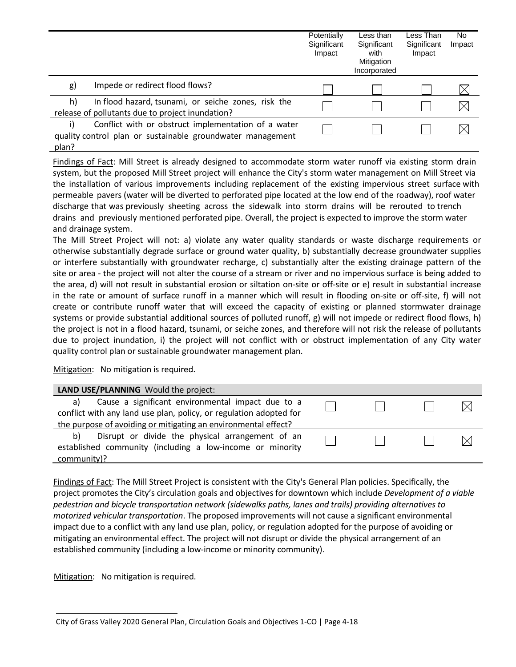|             |                                                                                                                   | Potentially<br>Significant<br>Impact | Less than<br>Significant<br>with<br>Mitigation<br>Incorporated | Less Than<br>Significant<br>Impact | No.<br>Impact |
|-------------|-------------------------------------------------------------------------------------------------------------------|--------------------------------------|----------------------------------------------------------------|------------------------------------|---------------|
| g)          | Impede or redirect flood flows?                                                                                   |                                      |                                                                |                                    |               |
| h)          | In flood hazard, tsunami, or seiche zones, risk the<br>release of pollutants due to project inundation?           |                                      |                                                                |                                    | $\boxtimes$   |
| i)<br>plan? | Conflict with or obstruct implementation of a water<br>quality control plan or sustainable groundwater management |                                      |                                                                |                                    |               |

Findings of Fact: Mill Street is already designed to accommodate storm water runoff via existing storm drain system, but the proposed Mill Street project will enhance the City's storm water management on Mill Street via the installation of various improvements including replacement of the existing impervious street surface with permeable pavers (water will be diverted to perforated pipe located at the low end of the roadway), roof water discharge that was previously sheeting across the sidewalk into storm drains will be rerouted to trench drains and previously mentioned perforated pipe. Overall, the project is expected to improve the storm water and drainage system.

The Mill Street Project will not: a) violate any water quality standards or waste discharge requirements or otherwise substantially degrade surface or ground water quality, b) substantially decrease groundwater supplies or interfere substantially with groundwater recharge, c) substantially alter the existing drainage pattern of the site or area - the project will not alter the course of a stream or river and no impervious surface is being added to the area, d) will not result in substantial erosion or siltation on-site or off-site or e) result in substantial increase in the rate or amount of surface runoff in a manner which will result in flooding on-site or off-site, f) will not create or contribute runoff water that will exceed the capacity of existing or planned stormwater drainage systems or provide substantial additional sources of polluted runoff, g) will not impede or redirect flood flows, h) the project is not in a flood hazard, tsunami, or seiche zones, and therefore will not risk the release of pollutants due to project inundation, i) the project will not conflict with or obstruct implementation of any City water quality control plan or sustainable groundwater management plan.

Mitigation: No mitigation is required.

| LAND USE/PLANNING Would the project:                               |  |  |
|--------------------------------------------------------------------|--|--|
| Cause a significant environmental impact due to a<br>a)            |  |  |
| conflict with any land use plan, policy, or regulation adopted for |  |  |
| the purpose of avoiding or mitigating an environmental effect?     |  |  |
| Disrupt or divide the physical arrangement of an<br>b)             |  |  |
| established community (including a low-income or minority          |  |  |
| community)?                                                        |  |  |

Findings of Fact: The Mill Street Project is consistent with the City's General Plan policies. Specifically, the project promotes the City's circulation goals and objectives for downtown which include *Development of a viable pedestrian and bicycle transportation network (sidewalks paths, lanes and trails) providing alternatives to motorized vehicular transportation*. The proposed improvements will not cause a significant environmental impact due to a conflict with any land use plan, policy, or regulation adopted for the purpose of avoiding or mitigating an environmental effect. The project will not disrupt or divide the physical arrangement of an established community (including a low-income or minority community).

City of Grass Valley 2020 General Plan, Circulation Goals and Objectives 1-CO | Page 4-18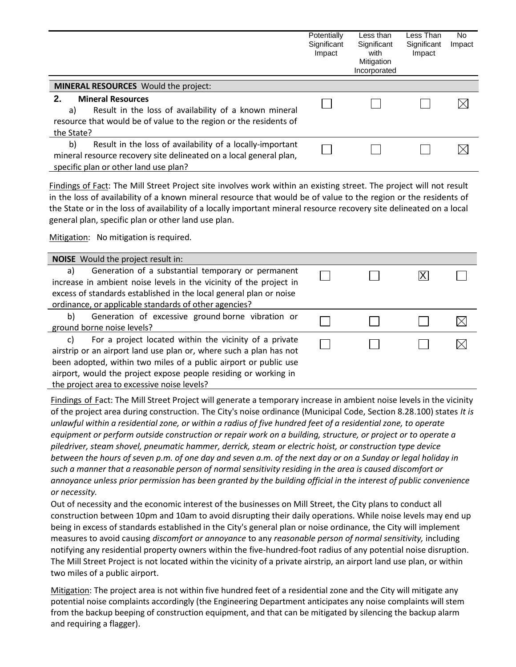|                                                                    | Potentially<br>Significant<br>Impact | Less than<br>Significant<br>with<br>Mitigation<br>Incorporated | Less Than<br>Significant<br>Impact | No.<br>Impact |
|--------------------------------------------------------------------|--------------------------------------|----------------------------------------------------------------|------------------------------------|---------------|
| <b>MINERAL RESOURCES</b> Would the project:                        |                                      |                                                                |                                    |               |
| <b>Mineral Resources</b><br>2.                                     |                                      |                                                                |                                    | $\bowtie$     |
| Result in the loss of availability of a known mineral<br>a)        |                                      |                                                                |                                    |               |
| resource that would be of value to the region or the residents of  |                                      |                                                                |                                    |               |
| the State?                                                         |                                      |                                                                |                                    |               |
| b)<br>Result in the loss of availability of a locally-important    |                                      |                                                                |                                    |               |
| mineral resource recovery site delineated on a local general plan, |                                      |                                                                |                                    |               |
| specific plan or other land use plan?                              |                                      |                                                                |                                    |               |

Findings of Fact: The Mill Street Project site involves work within an existing street. The project will not result in the loss of availability of a known mineral resource that would be of value to the region or the residents of the State or in the loss of availability of a locally important mineral resource recovery site delineated on a local general plan, specific plan or other land use plan.

Mitigation: No mitigation is required.

| NOISE Would the project result in:                                 |  |  |  |  |  |
|--------------------------------------------------------------------|--|--|--|--|--|
| Generation of a substantial temporary or permanent<br>a)           |  |  |  |  |  |
| increase in ambient noise levels in the vicinity of the project in |  |  |  |  |  |
| excess of standards established in the local general plan or noise |  |  |  |  |  |
| ordinance, or applicable standards of other agencies?              |  |  |  |  |  |
| Generation of excessive ground borne vibration or<br>b)            |  |  |  |  |  |
| ground borne noise levels?                                         |  |  |  |  |  |
| For a project located within the vicinity of a private<br>C)       |  |  |  |  |  |
| airstrip or an airport land use plan or, where such a plan has not |  |  |  |  |  |
| been adopted, within two miles of a public airport or public use   |  |  |  |  |  |
| airport, would the project expose people residing or working in    |  |  |  |  |  |
| the project area to excessive noise levels?                        |  |  |  |  |  |

Findings of Fact: The Mill Street Project will generate a temporary increase in ambient noise levels in the vicinity of the project area during construction. The City's noise ordinance (Municipal Code, Section 8.28.100) states *It is unlawful within a residential zone, or within a radius of five hundred feet of a residential zone, to operate equipment or perform outside construction or repair work on a building, structure, or project or to operate a piledriver, steam shovel, pneumatic hammer, derrick, steam or electric hoist, or construction type device between the hours of seven p.m. of one day and seven a.m. of the next day or on a Sunday or legal holiday in such a manner that a reasonable person of normal sensitivity residing in the area is caused discomfort or annoyance unless prior permission has been granted by the building official in the interest of public convenience or necessity.*

Out of necessity and the economic interest of the businesses on Mill Street, the City plans to conduct all construction between 10pm and 10am to avoid disrupting their daily operations. While noise levels may end up being in excess of standards established in the City's general plan or noise ordinance, the City will implement measures to avoid causing *discomfort or annoyance* to any *reasonable person of normal sensitivity,* including notifying any residential property owners within the five-hundred-foot radius of any potential noise disruption. The Mill Street Project is not located within the vicinity of a private airstrip, an airport land use plan, or within two miles of a public airport.

Mitigation: The project area is not within five hundred feet of a residential zone and the City will mitigate any potential noise complaints accordingly (the Engineering Department anticipates any noise complaints will stem from the backup beeping of construction equipment, and that can be mitigated by silencing the backup alarm and requiring a flagger).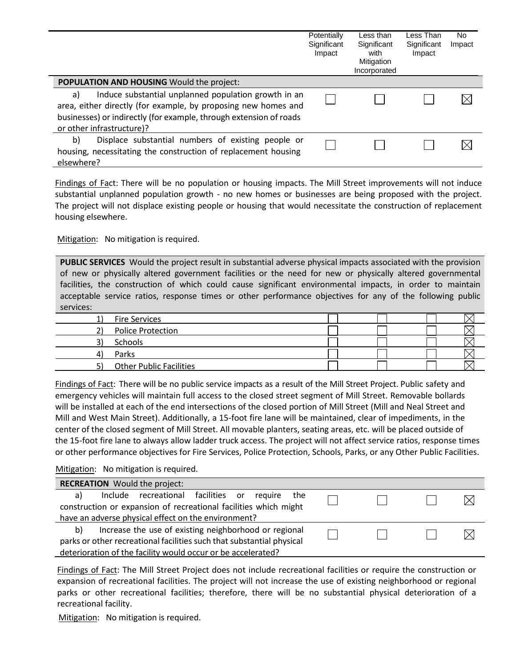|                                                                                                                                                                                                                                 | Potentially<br>Significant<br>Impact | Less than<br>Significant<br>with<br>Mitigation<br>Incorporated | Less Than<br>Significant<br>Impact | No.<br>Impact |
|---------------------------------------------------------------------------------------------------------------------------------------------------------------------------------------------------------------------------------|--------------------------------------|----------------------------------------------------------------|------------------------------------|---------------|
| <b>POPULATION AND HOUSING Would the project:</b>                                                                                                                                                                                |                                      |                                                                |                                    |               |
| Induce substantial unplanned population growth in an<br>a)<br>area, either directly (for example, by proposing new homes and<br>businesses) or indirectly (for example, through extension of roads<br>or other infrastructure)? |                                      |                                                                |                                    |               |
| b)<br>Displace substantial numbers of existing people or<br>housing, necessitating the construction of replacement housing<br>elsewhere?                                                                                        |                                      |                                                                |                                    |               |

Findings of Fact: There will be no population or housing impacts. The Mill Street improvements will not induce substantial unplanned population growth - no new homes or businesses are being proposed with the project. The project will not displace existing people or housing that would necessitate the construction of replacement housing elsewhere.

Mitigation: No mitigation is required.

**PUBLIC SERVICES** Would the project result in substantial adverse physical impacts associated with the provision of new or physically altered government facilities or the need for new or physically altered governmental facilities, the construction of which could cause significant environmental impacts, in order to maintain acceptable service ratios, response times or other performance objectives for any of the following public services:

| <b>Fire Services</b>           |  |  |  |
|--------------------------------|--|--|--|
| Police Protection              |  |  |  |
| Schools                        |  |  |  |
| Parks                          |  |  |  |
| <b>Other Public Facilities</b> |  |  |  |

Findings of Fact: There will be no public service impacts as a result of the Mill Street Project. Public safety and emergency vehicles will maintain full access to the closed street segment of Mill Street. Removable bollards will be installed at each of the end intersections of the closed portion of Mill Street (Mill and Neal Street and Mill and West Main Street). Additionally, a 15-foot fire lane will be maintained, clear of impediments, in the center of the closed segment of Mill Street. All movable planters, seating areas, etc. will be placed outside of the 15-foot fire lane to always allow ladder truck access. The project will not affect service ratios, response times or other performance objectives for Fire Services, Police Protection, Schools, Parks, or any Other Public Facilities.

Mitigation: No mitigation is required.

| <b>RECREATION</b> Would the project:                                  |                                                       |  |             |  |        |  |  |
|-----------------------------------------------------------------------|-------------------------------------------------------|--|-------------|--|--------|--|--|
| a)                                                                    | Include recreational facilities or                    |  | require the |  |        |  |  |
| construction or expansion of recreational facilities which might      |                                                       |  |             |  |        |  |  |
| have an adverse physical effect on the environment?                   |                                                       |  |             |  |        |  |  |
| b)                                                                    | Increase the use of existing neighborhood or regional |  |             |  | $\Box$ |  |  |
| parks or other recreational facilities such that substantial physical |                                                       |  |             |  |        |  |  |
| deterioration of the facility would occur or be accelerated?          |                                                       |  |             |  |        |  |  |

Findings of Fact: The Mill Street Project does not include recreational facilities or require the construction or expansion of recreational facilities. The project will not increase the use of existing neighborhood or regional parks or other recreational facilities; therefore, there will be no substantial physical deterioration of a recreational facility.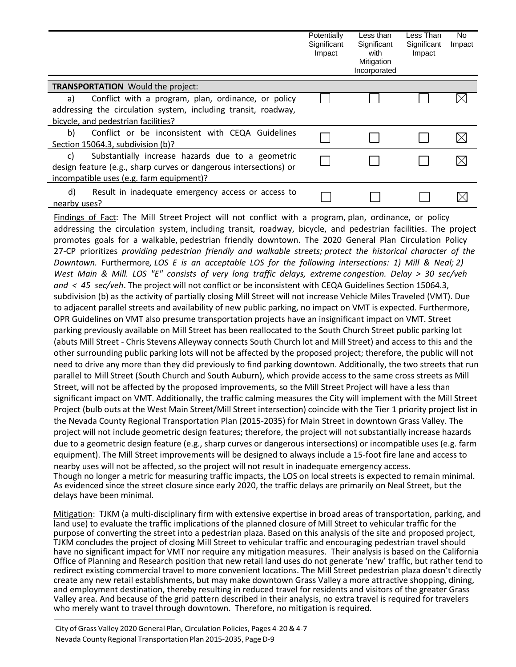|                                                                                                                                                                          | Potentially<br>Significant<br>Impact | Less than<br>Significant<br>with<br>Mitigation<br>Incorporated | Less Than<br>Significant<br>Impact | No<br>Impact |
|--------------------------------------------------------------------------------------------------------------------------------------------------------------------------|--------------------------------------|----------------------------------------------------------------|------------------------------------|--------------|
| <b>TRANSPORTATION</b> Would the project:                                                                                                                                 |                                      |                                                                |                                    |              |
| Conflict with a program, plan, ordinance, or policy<br>a)<br>addressing the circulation system, including transit, roadway,<br>bicycle, and pedestrian facilities?       |                                      |                                                                |                                    |              |
| b)<br>Conflict or be inconsistent with CEQA Guidelines<br>Section 15064.3, subdivision (b)?                                                                              |                                      |                                                                |                                    |              |
| Substantially increase hazards due to a geometric<br>C)<br>design feature (e.g., sharp curves or dangerous intersections) or<br>incompatible uses (e.g. farm equipment)? |                                      |                                                                |                                    |              |
| d)<br>Result in inadequate emergency access or access to<br>nearby uses?                                                                                                 |                                      |                                                                |                                    |              |

Findings of Fact: The Mill Street Project will not conflict with a program, plan, ordinance, or policy addressing the circulation system, including transit, roadway, bicycle, and pedestrian facilities. The project promotes goals for a walkable, pedestrian friendly downtown. The 2020 General Plan Circulation Policy 27-CP prioritizes *providing pedestrian friendly and walkable streets; protect the historical character of the Downtown.* Furthermore*, LOS E is an acceptable LOS for the following intersections: 1) Mill & Neal; 2) West Main & Mill. LOS "E" consists of very long traffic delays, extreme congestion. Delay > 30 sec/veh and < 45 sec/veh*. The project will not conflict or be inconsistent with CEQA Guidelines Section 15064.3, subdivision (b) as the activity of partially closing Mill Street will not increase Vehicle Miles Traveled (VMT). Due to adjacent parallel streets and availability of new public parking, no impact on VMT is expected. Furthermore, OPR Guidelines on VMT also presume transportation projects have an insignificant impact on VMT. Street parking previously available on Mill Street has been reallocated to the South Church Street public parking lot (abuts Mill Street - Chris Stevens Alleyway connects South Church lot and Mill Street) and access to this and the other surrounding public parking lots will not be affected by the proposed project; therefore, the public will not need to drive any more than they did previously to find parking downtown. Additionally, the two streets that run parallel to Mill Street (South Church and South Auburn), which provide access to the same cross streets as Mill Street, will not be affected by the proposed improvements, so the Mill Street Project will have a less than significant impact on VMT. Additionally, the traffic calming measures the City will implement with the Mill Street Project (bulb outs at the West Main Street/Mill Street intersection) coincide with the Tier 1 priority project list in the Nevada County Regional Transportation Plan (2015-2035) for Main Street in downtown Grass Valley. The project will not include geometric design features; therefore, the project will not substantially increase hazards due to a geometric design feature (e.g., sharp curves or dangerous intersections) or incompatible uses (e.g. farm equipment). The Mill Street improvements will be designed to always include a 15-foot fire lane and access to nearby uses will not be affected, so the project will not result in inadequate emergency access. Though no longer a metric for measuring traffic impacts, the LOS on local streets is expected to remain minimal. As evidenced since the street closure since early 2020, the traffic delays are primarily on Neal Street, but the delays have been minimal.

Mitigation: TJKM (a multi-disciplinary firm with extensive expertise in broad areas of transportation, parking, and land use) to evaluate the traffic implications of the planned closure of Mill Street to vehicular traffic for the purpose of converting the street into a pedestrian plaza. Based on this analysis of the site and proposed project, TJKM concludes the project of closing Mill Street to vehicular traffic and encouraging pedestrian travel should have no significant impact for VMT nor require any mitigation measures. Their analysis is based on the California Office of Planning and Research position that new retail land uses do not generate 'new' traffic, but rather tend to redirect existing commercial travel to more convenient locations. The Mill Street pedestrian plaza doesn't directly create any new retail establishments, but may make downtown Grass Valley a more attractive shopping, dining, and employment destination, thereby resulting in reduced travel for residents and visitors of the greater Grass Valley area. And because of the grid pattern described in their analysis, no extra travel is required for travelers who merely want to travel through downtown. Therefore, no mitigation is required.

City of Grass Valley 2020 General Plan, Circulation Policies, Pages 4-20 & 4-7 Nevada County Regional Transportation Plan 2015-2035, Page D-9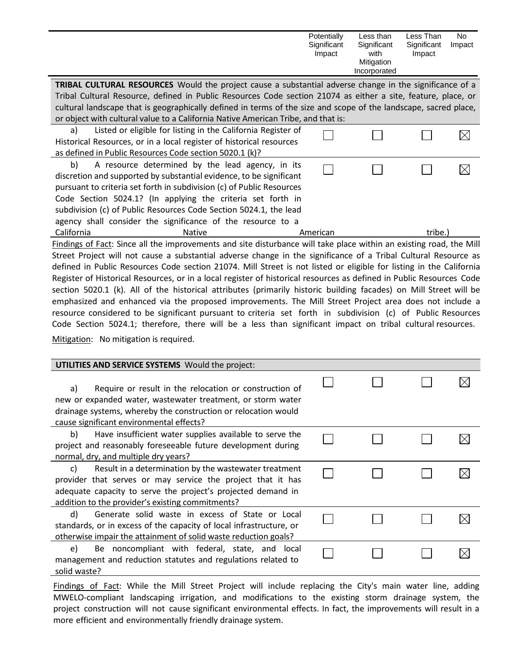|                                                                                                                      | Potentially<br>Significant<br>Impact | Less than<br>Significant<br>with<br>Mitigation | Less Than<br>Significant<br>Impact | No.<br>Impact |
|----------------------------------------------------------------------------------------------------------------------|--------------------------------------|------------------------------------------------|------------------------------------|---------------|
|                                                                                                                      |                                      | Incorporated                                   |                                    |               |
| <b>TRIBAL CULTURAL RESOURCES</b> Would the project cause a substantial adverse change in the significance of a       |                                      |                                                |                                    |               |
| Tribal Cultural Resource, defined in Public Resources Code section 21074 as either a site, feature, place, or        |                                      |                                                |                                    |               |
| cultural landscape that is geographically defined in terms of the size and scope of the landscape, sacred place,     |                                      |                                                |                                    |               |
| or object with cultural value to a California Native American Tribe, and that is:                                    |                                      |                                                |                                    |               |
| Listed or eligible for listing in the California Register of<br>a)                                                   |                                      |                                                |                                    |               |
| Historical Resources, or in a local register of historical resources                                                 |                                      |                                                |                                    |               |
| as defined in Public Resources Code section 5020.1 (k)?                                                              |                                      |                                                |                                    |               |
| A resource determined by the lead agency, in its<br>b)                                                               |                                      |                                                |                                    |               |
| discretion and supported by substantial evidence, to be significant                                                  |                                      |                                                |                                    |               |
| pursuant to criteria set forth in subdivision (c) of Public Resources                                                |                                      |                                                |                                    |               |
| Code Section 5024.1? (In applying the criteria set forth in                                                          |                                      |                                                |                                    |               |
| subdivision (c) of Public Resources Code Section 5024.1, the lead                                                    |                                      |                                                |                                    |               |
| agency shall consider the significance of the resource to a                                                          |                                      |                                                |                                    |               |
| California<br><b>Native</b>                                                                                          | American                             |                                                | tribe.)                            |               |
| Findings of Fact: Since all the improvements and site disturbance will take place within an existing road, the Mill  |                                      |                                                |                                    |               |
| Street Project will not cause a substantial adverse change in the significance of a Tribal Cultural Resource as      |                                      |                                                |                                    |               |
| defined in Public Resources Code section 21074. Mill Street is not listed or eligible for listing in the California  |                                      |                                                |                                    |               |
| Register of Historical Resources, or in a local register of historical resources as defined in Public Resources Code |                                      |                                                |                                    |               |

section 5020.1 (k). All of the historical attributes (primarily historic building facades) on Mill Street will be emphasized and enhanced via the proposed improvements. The Mill Street Project area does not include a resource considered to be significant pursuant to criteria set forth in subdivision (c) of Public Resources Code Section 5024.1; therefore, there will be a less than significant impact on tribal cultural resources. Mitigation: No mitigation is required.

| <b>UTILITIES AND SERVICE SYSTEMS</b> Would the project:                                                                                                                                                                                        |  |  |
|------------------------------------------------------------------------------------------------------------------------------------------------------------------------------------------------------------------------------------------------|--|--|
| Require or result in the relocation or construction of<br>a)<br>new or expanded water, wastewater treatment, or storm water<br>drainage systems, whereby the construction or relocation would<br>cause significant environmental effects?      |  |  |
| b)<br>Have insufficient water supplies available to serve the<br>project and reasonably foreseeable future development during<br>normal, dry, and multiple dry years?                                                                          |  |  |
| Result in a determination by the wastewater treatment<br>C)<br>provider that serves or may service the project that it has<br>adequate capacity to serve the project's projected demand in<br>addition to the provider's existing commitments? |  |  |
| Generate solid waste in excess of State or Local<br>d)<br>standards, or in excess of the capacity of local infrastructure, or<br>otherwise impair the attainment of solid waste reduction goals?                                               |  |  |
| Be noncompliant with federal, state, and local<br>e)<br>management and reduction statutes and regulations related to<br>solid waste?                                                                                                           |  |  |

Findings of Fact: While the Mill Street Project will include replacing the City's main water line, adding MWELO-compliant landscaping irrigation, and modifications to the existing storm drainage system, the project construction will not cause significant environmental effects. In fact, the improvements will result in a more efficient and environmentally friendly drainage system.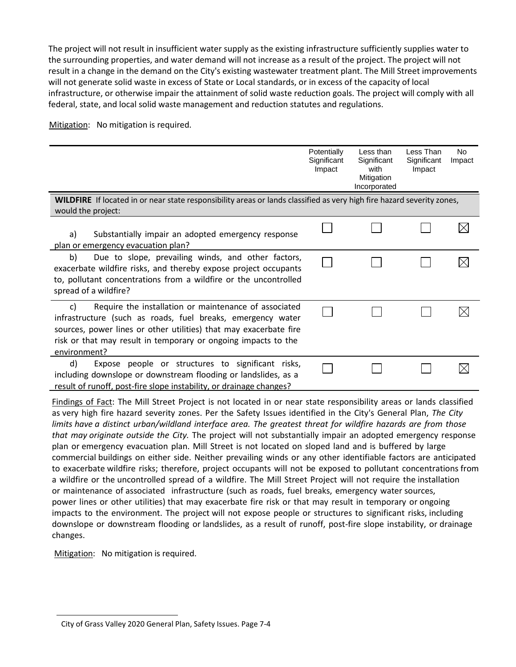The project will not result in insufficient water supply as the existing infrastructure sufficiently supplies water to the surrounding properties, and water demand will not increase as a result of the project. The project will not result in a change in the demand on the City's existing wastewater treatment plant. The Mill Street improvements will not generate solid waste in excess of State or Local standards, or in excess of the capacity of local infrastructure, or otherwise impair the attainment of solid waste reduction goals. The project will comply with all federal, state, and local solid waste management and reduction statutes and regulations.

Mitigation: No mitigation is required.

|                                                                                                                                                                                                                                                                                   | Potentially<br>Significant<br>Impact | Less than<br>Significant<br>with<br>Mitigation<br>Incorporated | Less Than<br>Significant<br>Impact | <b>No</b><br>Impact |
|-----------------------------------------------------------------------------------------------------------------------------------------------------------------------------------------------------------------------------------------------------------------------------------|--------------------------------------|----------------------------------------------------------------|------------------------------------|---------------------|
| WILDFIRE If located in or near state responsibility areas or lands classified as very high fire hazard severity zones,<br>would the project:                                                                                                                                      |                                      |                                                                |                                    |                     |
| Substantially impair an adopted emergency response<br>a)<br>plan or emergency evacuation plan?                                                                                                                                                                                    |                                      |                                                                |                                    |                     |
| Due to slope, prevailing winds, and other factors,<br>b)<br>exacerbate wildfire risks, and thereby expose project occupants<br>to, pollutant concentrations from a wildfire or the uncontrolled<br>spread of a wildfire?                                                          |                                      |                                                                |                                    |                     |
| Require the installation or maintenance of associated<br>C)<br>infrastructure (such as roads, fuel breaks, emergency water<br>sources, power lines or other utilities) that may exacerbate fire<br>risk or that may result in temporary or ongoing impacts to the<br>environment? |                                      |                                                                |                                    |                     |
| d)<br>Expose people or structures to significant risks,<br>including downslope or downstream flooding or landslides, as a<br>result of runoff, post-fire slope instability, or drainage changes?                                                                                  |                                      |                                                                |                                    |                     |

Findings of Fact: The Mill Street Project is not located in or near state responsibility areas or lands classified as very high fire hazard severity zones. Per the Safety Issues identified in the City's General Plan, *The City limits have a distinct urban/wildland interface area. The greatest threat for wildfire hazards are from those that may originate outside the City.* The project will not substantially impair an adopted emergency response plan or emergency evacuation plan. Mill Street is not located on sloped land and is buffered by large commercial buildings on either side. Neither prevailing winds or any other identifiable factors are anticipated to exacerbate wildfire risks; therefore, project occupants will not be exposed to pollutant concentrations from a wildfire or the uncontrolled spread of a wildfire. The Mill Street Project will not require the installation or maintenance of associated infrastructure (such as roads, fuel breaks, emergency water sources, power lines or other utilities) that may exacerbate fire risk or that may result in temporary or ongoing impacts to the environment. The project will not expose people or structures to significant risks, including downslope or downstream flooding or landslides, as a result of runoff, post-fire slope instability, or drainage changes.

City of Grass Valley 2020 General Plan, Safety Issues. Page 7-4